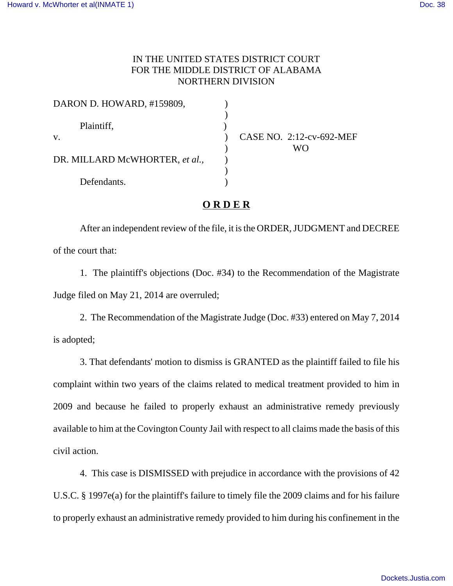## IN THE UNITED STATES DISTRICT COURT FOR THE MIDDLE DISTRICT OF ALABAMA NORTHERN DIVISION

| DARON D. HOWARD, #159809,      |                          |
|--------------------------------|--------------------------|
| Plaintiff,                     |                          |
| V.                             | CASE NO. 2:12-cv-692-MEF |
|                                | WΟ                       |
| DR. MILLARD McWHORTER, et al., |                          |
|                                |                          |
| Defendants.                    |                          |

## **O R D E R**

After an independent review of the file, it is the ORDER, JUDGMENT and DECREE of the court that:

1. The plaintiff's objections (Doc. #34) to the Recommendation of the Magistrate Judge filed on May 21, 2014 are overruled;

2. The Recommendation of the Magistrate Judge (Doc. #33) entered on May 7, 2014 is adopted;

3. That defendants' motion to dismiss is GRANTED as the plaintiff failed to file his complaint within two years of the claims related to medical treatment provided to him in 2009 and because he failed to properly exhaust an administrative remedy previously available to him at the Covington County Jail with respect to all claims made the basis of this civil action.

4. This case is DISMISSED with prejudice in accordance with the provisions of 42 U.S.C. § 1997e(a) for the plaintiff's failure to timely file the 2009 claims and for his failure to properly exhaust an administrative remedy provided to him during his confinement in the